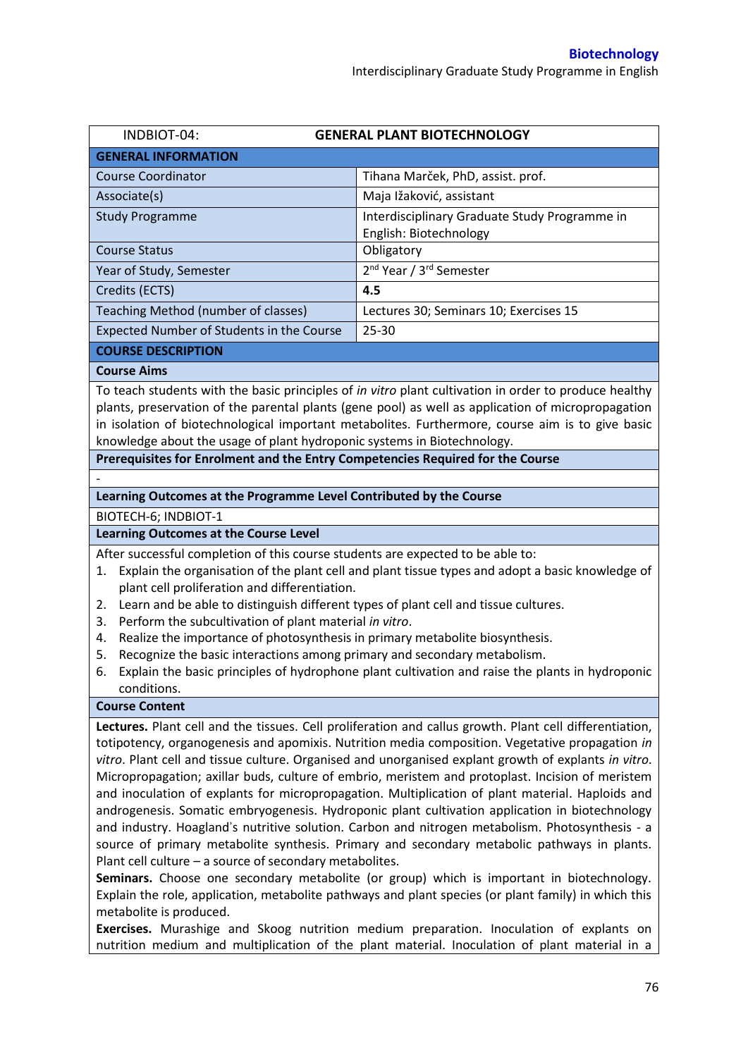| INDBIOT-04:                                                                                                                                                                                                                                                                                                                                                                                                                                                                                                                                                                                                                                                                                                                                                                                                                                                                                                                                                                                                                                                                                                               | <b>GENERAL PLANT BIOTECHNOLOGY</b>              |  |  |  |
|---------------------------------------------------------------------------------------------------------------------------------------------------------------------------------------------------------------------------------------------------------------------------------------------------------------------------------------------------------------------------------------------------------------------------------------------------------------------------------------------------------------------------------------------------------------------------------------------------------------------------------------------------------------------------------------------------------------------------------------------------------------------------------------------------------------------------------------------------------------------------------------------------------------------------------------------------------------------------------------------------------------------------------------------------------------------------------------------------------------------------|-------------------------------------------------|--|--|--|
| <b>GENERAL INFORMATION</b>                                                                                                                                                                                                                                                                                                                                                                                                                                                                                                                                                                                                                                                                                                                                                                                                                                                                                                                                                                                                                                                                                                |                                                 |  |  |  |
| <b>Course Coordinator</b>                                                                                                                                                                                                                                                                                                                                                                                                                                                                                                                                                                                                                                                                                                                                                                                                                                                                                                                                                                                                                                                                                                 | Tihana Marček, PhD, assist. prof.               |  |  |  |
| Associate(s)                                                                                                                                                                                                                                                                                                                                                                                                                                                                                                                                                                                                                                                                                                                                                                                                                                                                                                                                                                                                                                                                                                              | Maja Ižaković, assistant                        |  |  |  |
| <b>Study Programme</b>                                                                                                                                                                                                                                                                                                                                                                                                                                                                                                                                                                                                                                                                                                                                                                                                                                                                                                                                                                                                                                                                                                    | Interdisciplinary Graduate Study Programme in   |  |  |  |
|                                                                                                                                                                                                                                                                                                                                                                                                                                                                                                                                                                                                                                                                                                                                                                                                                                                                                                                                                                                                                                                                                                                           | English: Biotechnology                          |  |  |  |
| <b>Course Status</b>                                                                                                                                                                                                                                                                                                                                                                                                                                                                                                                                                                                                                                                                                                                                                                                                                                                                                                                                                                                                                                                                                                      | Obligatory                                      |  |  |  |
| Year of Study, Semester                                                                                                                                                                                                                                                                                                                                                                                                                                                                                                                                                                                                                                                                                                                                                                                                                                                                                                                                                                                                                                                                                                   | 2 <sup>nd</sup> Year / 3 <sup>rd</sup> Semester |  |  |  |
| Credits (ECTS)                                                                                                                                                                                                                                                                                                                                                                                                                                                                                                                                                                                                                                                                                                                                                                                                                                                                                                                                                                                                                                                                                                            | 4.5                                             |  |  |  |
| Teaching Method (number of classes)                                                                                                                                                                                                                                                                                                                                                                                                                                                                                                                                                                                                                                                                                                                                                                                                                                                                                                                                                                                                                                                                                       | Lectures 30; Seminars 10; Exercises 15          |  |  |  |
| Expected Number of Students in the Course                                                                                                                                                                                                                                                                                                                                                                                                                                                                                                                                                                                                                                                                                                                                                                                                                                                                                                                                                                                                                                                                                 | $25 - 30$                                       |  |  |  |
| <b>COURSE DESCRIPTION</b>                                                                                                                                                                                                                                                                                                                                                                                                                                                                                                                                                                                                                                                                                                                                                                                                                                                                                                                                                                                                                                                                                                 |                                                 |  |  |  |
| <b>Course Aims</b>                                                                                                                                                                                                                                                                                                                                                                                                                                                                                                                                                                                                                                                                                                                                                                                                                                                                                                                                                                                                                                                                                                        |                                                 |  |  |  |
| To teach students with the basic principles of in vitro plant cultivation in order to produce healthy<br>plants, preservation of the parental plants (gene pool) as well as application of micropropagation<br>in isolation of biotechnological important metabolites. Furthermore, course aim is to give basic<br>knowledge about the usage of plant hydroponic systems in Biotechnology.                                                                                                                                                                                                                                                                                                                                                                                                                                                                                                                                                                                                                                                                                                                                |                                                 |  |  |  |
| Prerequisites for Enrolment and the Entry Competencies Required for the Course                                                                                                                                                                                                                                                                                                                                                                                                                                                                                                                                                                                                                                                                                                                                                                                                                                                                                                                                                                                                                                            |                                                 |  |  |  |
|                                                                                                                                                                                                                                                                                                                                                                                                                                                                                                                                                                                                                                                                                                                                                                                                                                                                                                                                                                                                                                                                                                                           |                                                 |  |  |  |
| Learning Outcomes at the Programme Level Contributed by the Course                                                                                                                                                                                                                                                                                                                                                                                                                                                                                                                                                                                                                                                                                                                                                                                                                                                                                                                                                                                                                                                        |                                                 |  |  |  |
| BIOTECH-6; INDBIOT-1                                                                                                                                                                                                                                                                                                                                                                                                                                                                                                                                                                                                                                                                                                                                                                                                                                                                                                                                                                                                                                                                                                      |                                                 |  |  |  |
| <b>Learning Outcomes at the Course Level</b>                                                                                                                                                                                                                                                                                                                                                                                                                                                                                                                                                                                                                                                                                                                                                                                                                                                                                                                                                                                                                                                                              |                                                 |  |  |  |
| After successful completion of this course students are expected to be able to:<br>Explain the organisation of the plant cell and plant tissue types and adopt a basic knowledge of<br>1.<br>plant cell proliferation and differentiation.<br>Learn and be able to distinguish different types of plant cell and tissue cultures.<br>2.<br>Perform the subcultivation of plant material in vitro.<br>3.<br>Realize the importance of photosynthesis in primary metabolite biosynthesis.<br>4.<br>Recognize the basic interactions among primary and secondary metabolism.<br>5.<br>Explain the basic principles of hydrophone plant cultivation and raise the plants in hydroponic<br>6.<br>conditions.                                                                                                                                                                                                                                                                                                                                                                                                                   |                                                 |  |  |  |
| <b>Course Content</b>                                                                                                                                                                                                                                                                                                                                                                                                                                                                                                                                                                                                                                                                                                                                                                                                                                                                                                                                                                                                                                                                                                     |                                                 |  |  |  |
| Lectures. Plant cell and the tissues. Cell proliferation and callus growth. Plant cell differentiation,<br>totipotency, organogenesis and apomixis. Nutrition media composition. Vegetative propagation in<br>vitro. Plant cell and tissue culture. Organised and unorganised explant growth of explants in vitro.<br>Micropropagation; axillar buds, culture of embrio, meristem and protoplast. Incision of meristem<br>and inoculation of explants for micropropagation. Multiplication of plant material. Haploids and<br>androgenesis. Somatic embryogenesis. Hydroponic plant cultivation application in biotechnology<br>and industry. Hoagland's nutritive solution. Carbon and nitrogen metabolism. Photosynthesis - a<br>source of primary metabolite synthesis. Primary and secondary metabolic pathways in plants.<br>Plant cell culture - a source of secondary metabolites.<br>Seminars. Choose one secondary metabolite (or group) which is important in biotechnology.<br>Explain the role, application, metabolite pathways and plant species (or plant family) in which this<br>metabolite is produced. |                                                 |  |  |  |

**Exercises.** Murashige and Skoog nutrition medium preparation. Inoculation of explants on nutrition medium and multiplication of the plant material. Inoculation of plant material in a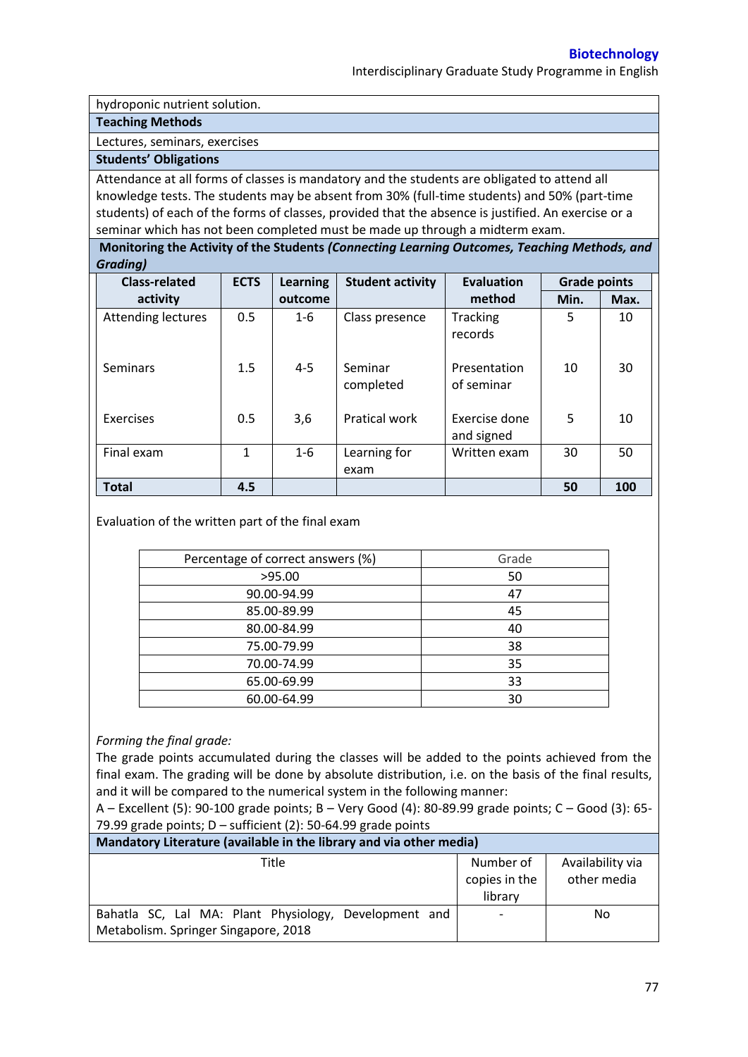Interdisciplinary Graduate Study Programme in English

hydroponic nutrient solution.

## **Teaching Methods**

Lectures, seminars, exercises

## **Students' Obligations**

Attendance at all forms of classes is mandatory and the students are obligated to attend all knowledge tests. The students may be absent from 30% (full-time students) and 50% (part-time students) of each of the forms of classes, provided that the absence is justified. An exercise or a seminar which has not been completed must be made up through a midterm exam.

**Monitoring the Activity of the Students** *(Connecting Learning Outcomes, Teaching Methods, and Grading)*

| <b>Class-related</b> | <b>ECTS</b> | <b>Learning</b> | <b>Student activity</b> | <b>Evaluation</b>           | <b>Grade points</b> |      |
|----------------------|-------------|-----------------|-------------------------|-----------------------------|---------------------|------|
| activity             |             | outcome         |                         | method                      | Min.                | Max. |
| Attending lectures   | 0.5         | $1 - 6$         | Class presence          | <b>Tracking</b><br>records  | 5                   | 10   |
| Seminars             | 1.5         | $4 - 5$         | Seminar<br>completed    | Presentation<br>of seminar  | 10                  | 30   |
| Exercises            | 0.5         | 3,6             | <b>Pratical work</b>    | Exercise done<br>and signed | 5                   | 10   |
| Final exam           | 1           | $1 - 6$         | Learning for            | Written exam                | 30                  | 50   |
|                      |             |                 | exam                    |                             |                     |      |
| <b>Total</b>         | 4.5         |                 |                         |                             | 50                  | 100  |

Evaluation of the written part of the final exam

| Percentage of correct answers (%) | Grade |
|-----------------------------------|-------|
| >95.00                            | 50    |
| 90.00-94.99                       | 47    |
| 85.00-89.99                       | 45    |
| 80.00-84.99                       | 40    |
| 75.00-79.99                       | 38    |
| 70.00-74.99                       | 35    |
| 65.00-69.99                       | 33    |
| 60.00-64.99                       | 30    |

## *Forming the final grade:*

The grade points accumulated during the classes will be added to the points achieved from the final exam. The grading will be done by absolute distribution, i.e. on the basis of the final results, and it will be compared to the numerical system in the following manner:

A – Excellent (5): 90-100 grade points; B – Very Good (4): 80-89.99 grade points; C – Good (3): 65- 79.99 grade points;  $D$  – sufficient (2): 50-64.99 grade points

| Mandatory Literature (available in the library and via other media) |               |                  |  |  |
|---------------------------------------------------------------------|---------------|------------------|--|--|
| Title                                                               | Number of     | Availability via |  |  |
|                                                                     | copies in the | other media      |  |  |
|                                                                     | library       |                  |  |  |
| Bahatla SC, Lal MA: Plant Physiology, Development and               |               | No.              |  |  |
| Metabolism. Springer Singapore, 2018                                |               |                  |  |  |